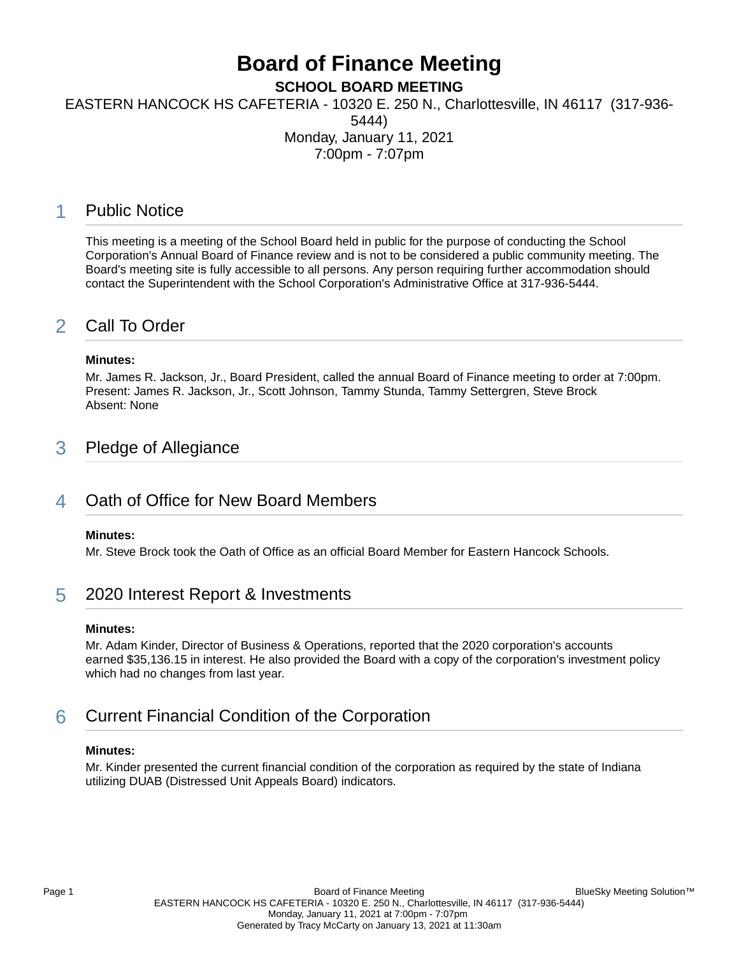# **Board of Finance Meeting**

**SCHOOL BOARD MEETING**

EASTERN HANCOCK HS CAFETERIA - 10320 E. 250 N., Charlottesville, IN 46117 (317-936-

5444)

Monday, January 11, 2021

7:00pm - 7:07pm

### 1 Public Notice

This meeting is a meeting of the School Board held in public for the purpose of conducting the School Corporation's Annual Board of Finance review and is not to be considered a public community meeting. The Board's meeting site is fully accessible to all persons. Any person requiring further accommodation should contact the Superintendent with the School Corporation's Administrative Office at 317-936-5444.

## 2 Call To Order

### **Minutes:**

Mr. James R. Jackson, Jr., Board President, called the annual Board of Finance meeting to order at 7:00pm. Present: James R. Jackson, Jr., Scott Johnson, Tammy Stunda, Tammy Settergren, Steve Brock Absent: None

## 3 Pledge of Allegiance

### 4 Oath of Office for New Board Members

### **Minutes:**

Mr. Steve Brock took the Oath of Office as an official Board Member for Eastern Hancock Schools.

### 5 2020 Interest Report & Investments

### **Minutes:**

Mr. Adam Kinder, Director of Business & Operations, reported that the 2020 corporation's accounts earned \$35,136.15 in interest. He also provided the Board with a copy of the corporation's investment policy which had no changes from last year.

# 6 Current Financial Condition of the Corporation

### **Minutes:**

Mr. Kinder presented the current financial condition of the corporation as required by the state of Indiana utilizing DUAB (Distressed Unit Appeals Board) indicators.